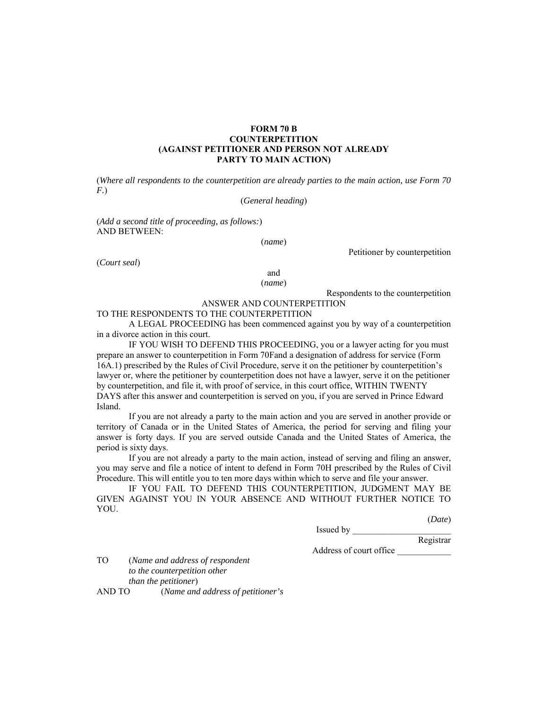## **FORM 70 B COUNTERPETITION (AGAINST PETITIONER AND PERSON NOT ALREADY PARTY TO MAIN ACTION)**

(*Where all respondents to the counterpetition are already parties to the main action, use Form 70 F.*)

## (*General heading*)

(*Add a second title of proceeding, as follows:*) AND BETWEEN:

(*name*)

Petitioner by counterpetition

(*Court seal*)

and (*name*)

Respondents to the counterpetition

ANSWER AND COUNTERPETITION

# TO THE RESPONDENTS TO THE COUNTERPETITION

A LEGAL PROCEEDING has been commenced against you by way of a counterpetition in a divorce action in this court.

IF YOU WISH TO DEFEND THIS PROCEEDING, you or a lawyer acting for you must prepare an answer to counterpetition in Form 70Fand a designation of address for service (Form 16A.1) prescribed by the Rules of Civil Procedure, serve it on the petitioner by counterpetition's lawyer or, where the petitioner by counterpetition does not have a lawyer, serve it on the petitioner by counterpetition, and file it, with proof of service, in this court office, WITHIN TWENTY DAYS after this answer and counterpetition is served on you, if you are served in Prince Edward Island.

 If you are not already a party to the main action and you are served in another provide or territory of Canada or in the United States of America, the period for serving and filing your answer is forty days. If you are served outside Canada and the United States of America, the period is sixty days.

If you are not already a party to the main action, instead of serving and filing an answer, you may serve and file a notice of intent to defend in Form 70H prescribed by the Rules of Civil Procedure. This will entitle you to ten more days within which to serve and file your answer.

IF YOU FAIL TO DEFEND THIS COUNTERPETITION, JUDGMENT MAY BE GIVEN AGAINST YOU IN YOUR ABSENCE AND WITHOUT FURTHER NOTICE TO YOU.

(*Date*)

Issued by \_\_\_\_\_\_\_\_\_\_\_\_\_\_\_\_\_\_\_\_\_\_

Registrar

Address of court office \_\_\_\_\_\_\_\_\_\_\_\_

TO (*Name and address of respondent to the counterpetition other than the petitioner*) AND TO (*Name and address of petitioner's*